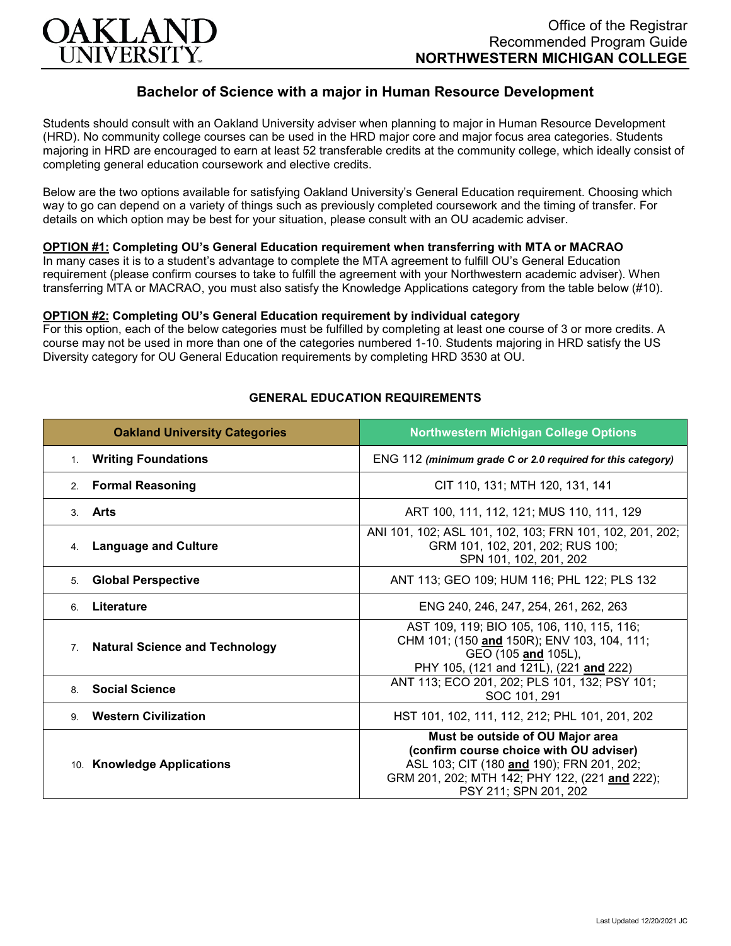

# **Bachelor of Science with a major in Human Resource Development**

Students should consult with an Oakland University adviser when planning to major in Human Resource Development (HRD). No community college courses can be used in the HRD major core and major focus area categories. Students majoring in HRD are encouraged to earn at least 52 transferable credits at the community college, which ideally consist of completing general education coursework and elective credits.

Below are the two options available for satisfying Oakland University's General Education requirement. Choosing which way to go can depend on a variety of things such as previously completed coursework and the timing of transfer. For details on which option may be best for your situation, please consult with an OU academic adviser.

### **OPTION #1: Completing OU's General Education requirement when transferring with MTA or MACRAO**

In many cases it is to a student's advantage to complete the MTA agreement to fulfill OU's General Education requirement (please confirm courses to take to fulfill the agreement with your Northwestern academic adviser). When transferring MTA or MACRAO, you must also satisfy the Knowledge Applications category from the table below (#10).

#### **OPTION #2: Completing OU's General Education requirement by individual category**

For this option, each of the below categories must be fulfilled by completing at least one course of 3 or more credits. A course may not be used in more than one of the categories numbered 1-10. Students majoring in HRD satisfy the US Diversity category for OU General Education requirements by completing HRD 3530 at OU.

| <b>Oakland University Categories</b>                    | <b>Northwestern Michigan College Options</b>                                                                                                                                                        |
|---------------------------------------------------------|-----------------------------------------------------------------------------------------------------------------------------------------------------------------------------------------------------|
| <b>Writing Foundations</b><br>1 <sup>1</sup>            | ENG 112 (minimum grade C or 2.0 required for this category)                                                                                                                                         |
| <b>Formal Reasoning</b><br>2.                           | CIT 110, 131; MTH 120, 131, 141                                                                                                                                                                     |
| 3. Arts                                                 | ART 100, 111, 112, 121; MUS 110, 111, 129                                                                                                                                                           |
| <b>Language and Culture</b><br>4.                       | ANI 101, 102; ASL 101, 102, 103; FRN 101, 102, 201, 202;<br>GRM 101, 102, 201, 202; RUS 100;<br>SPN 101, 102, 201, 202                                                                              |
| <b>Global Perspective</b><br>5.                         | ANT 113; GEO 109; HUM 116; PHL 122; PLS 132                                                                                                                                                         |
| Literature<br>6.                                        | ENG 240, 246, 247, 254, 261, 262, 263                                                                                                                                                               |
| <b>Natural Science and Technology</b><br>7 <sub>1</sub> | AST 109, 119; BIO 105, 106, 110, 115, 116;<br>CHM 101; (150 and 150R); ENV 103, 104, 111;<br>GEO (105 and 105L),<br>PHY 105, (121 and 121L), (221 and 222)                                          |
| <b>Social Science</b><br>8                              | ANT 113; ECO 201, 202; PLS 101, 132; PSY 101;<br>SOC 101, 291                                                                                                                                       |
| <b>Western Civilization</b><br>9                        | HST 101, 102, 111, 112, 212; PHL 101, 201, 202                                                                                                                                                      |
| 10. Knowledge Applications                              | Must be outside of OU Major area<br>(confirm course choice with OU adviser)<br>ASL 103; CIT (180 and 190); FRN 201, 202;<br>GRM 201, 202; MTH 142; PHY 122, (221 and 222);<br>PSY 211; SPN 201, 202 |

#### **GENERAL EDUCATION REQUIREMENTS**